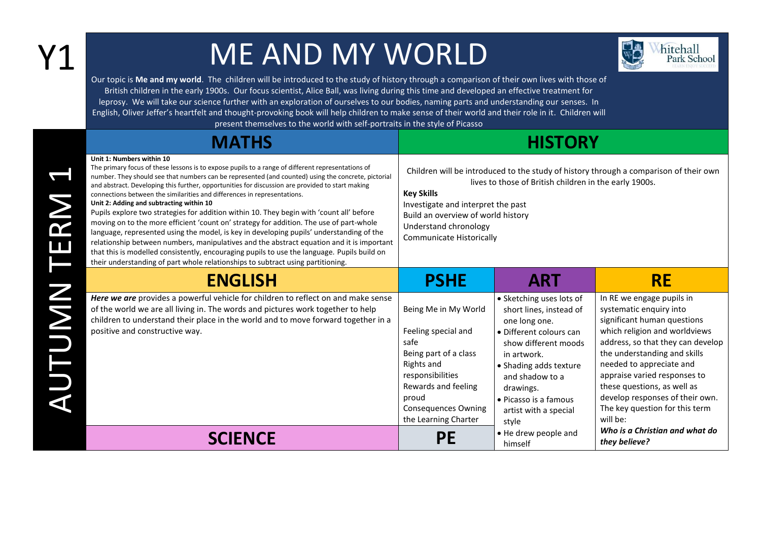## Y1 ME AND MY WORLD



Our topic is **Me and my world**. The children will be introduced to the study of history through a comparison of their own lives with those of British children in the early 1900s. Our focus scientist, Alice Ball, was living during this time and developed an effective treatment for leprosy. We will take our science further with an exploration of ourselves to our bodies, naming parts and understanding our senses. In English, Oliver Jeffer's heartfelt and thought-provoking book will help children to make sense of their world and their role in it. Children will

present themselves to the world with self-portraits in the style of Picasso

| <b>MATHS</b>                                                                                                                                                                                                                                                                                                                                                                                                                                                                                                                                                                                                                                                                                                                                                                                                                                                                                                                                                                                                                        | <b>HISTORY</b>                                                                                                                                                                                                                                                                                               |                                                                                                                                                                                                                                                             |                                                                                                                                                                                                                                                                                                                                                                       |  |
|-------------------------------------------------------------------------------------------------------------------------------------------------------------------------------------------------------------------------------------------------------------------------------------------------------------------------------------------------------------------------------------------------------------------------------------------------------------------------------------------------------------------------------------------------------------------------------------------------------------------------------------------------------------------------------------------------------------------------------------------------------------------------------------------------------------------------------------------------------------------------------------------------------------------------------------------------------------------------------------------------------------------------------------|--------------------------------------------------------------------------------------------------------------------------------------------------------------------------------------------------------------------------------------------------------------------------------------------------------------|-------------------------------------------------------------------------------------------------------------------------------------------------------------------------------------------------------------------------------------------------------------|-----------------------------------------------------------------------------------------------------------------------------------------------------------------------------------------------------------------------------------------------------------------------------------------------------------------------------------------------------------------------|--|
| Unit 1: Numbers within 10<br>The primary focus of these lessons is to expose pupils to a range of different representations of<br>number. They should see that numbers can be represented (and counted) using the concrete, pictorial<br>and abstract. Developing this further, opportunities for discussion are provided to start making<br>connections between the similarities and differences in representations.<br>Unit 2: Adding and subtracting within 10<br>Pupils explore two strategies for addition within 10. They begin with 'count all' before<br>moving on to the more efficient 'count on' strategy for addition. The use of part-whole<br>language, represented using the model, is key in developing pupils' understanding of the<br>relationship between numbers, manipulatives and the abstract equation and it is important<br>that this is modelled consistently, encouraging pupils to use the language. Pupils build on<br>their understanding of part whole relationships to subtract using partitioning. | Children will be introduced to the study of history through a comparison of their own<br>lives to those of British children in the early 1900s.<br><b>Key Skills</b><br>Investigate and interpret the past<br>Build an overview of world history<br>Understand chronology<br><b>Communicate Historically</b> |                                                                                                                                                                                                                                                             |                                                                                                                                                                                                                                                                                                                                                                       |  |
| <b>ENGLISH</b>                                                                                                                                                                                                                                                                                                                                                                                                                                                                                                                                                                                                                                                                                                                                                                                                                                                                                                                                                                                                                      | <b>PSHE</b>                                                                                                                                                                                                                                                                                                  | <b>ART</b>                                                                                                                                                                                                                                                  | <b>RE</b>                                                                                                                                                                                                                                                                                                                                                             |  |
| Here we are provides a powerful vehicle for children to reflect on and make sense<br>of the world we are all living in. The words and pictures work together to help<br>children to understand their place in the world and to move forward together in a<br>positive and constructive way.                                                                                                                                                                                                                                                                                                                                                                                                                                                                                                                                                                                                                                                                                                                                         | Being Me in My World<br>Feeling special and<br>safe<br>Being part of a class<br>Rights and<br>responsibilities<br>Rewards and feeling<br>proud<br><b>Consequences Owning</b><br>the Learning Charter                                                                                                         | • Sketching uses lots of<br>short lines, instead of<br>one long one.<br>• Different colours can<br>show different moods<br>in artwork.<br>• Shading adds texture<br>and shadow to a<br>drawings.<br>• Picasso is a famous<br>artist with a special<br>style | In RE we engage pupils in<br>systematic enquiry into<br>significant human questions<br>which religion and worldviews<br>address, so that they can develop<br>the understanding and skills<br>needed to appreciate and<br>appraise varied responses to<br>these questions, as well as<br>develop responses of their own.<br>The key question for this term<br>will be: |  |
| <b>SCIENCE</b>                                                                                                                                                                                                                                                                                                                                                                                                                                                                                                                                                                                                                                                                                                                                                                                                                                                                                                                                                                                                                      | ΡE                                                                                                                                                                                                                                                                                                           | • He drew people and<br>himself                                                                                                                                                                                                                             | Who is a Christian and what do<br>they believe?                                                                                                                                                                                                                                                                                                                       |  |